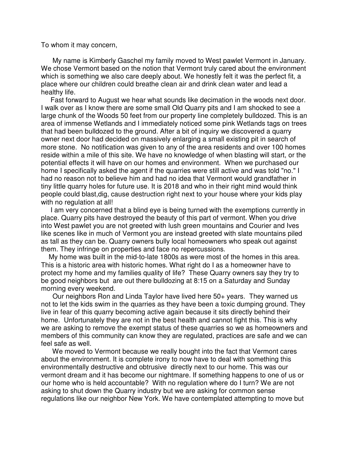To whom it may concern,

 My name is Kimberly Gaschel my family moved to West pawlet Vermont in January. We chose Vermont based on the notion that Vermont truly cared about the environment which is something we also care deeply about. We honestly felt it was the perfect fit, a place where our children could breathe clean air and drink clean water and lead a healthy life.

 Fast forward to August we hear what sounds like decimation in the woods next door. I walk over as I know there are some small Old Quarry pits and I am shocked to see a large chunk of the Woods 50 feet from our property line completely bulldozed. This is an area of immense Wetlands and I immediately noticed some pink Wetlands tags on trees that had been bulldozed to the ground. After a bit of inquiry we discovered a quarry owner next door had decided on massively enlarging a small existing pit in search of more stone. No notification was given to any of the area residents and over 100 homes reside within a mile of this site. We have no knowledge of when blasting will start, or the potential effects it will have on our homes and environment. When we purchased our home I specifically asked the agent if the quarries were still active and was told "no." I had no reason not to believe him and had no idea that Vermont would grandfather in tiny little quarry holes for future use. It is 2018 and who in their right mind would think people could blast,dig, cause destruction right next to your house where your kids play with no regulation at all!

 I am very concerned that a blind eye is being turned with the exemptions currently in place. Quarry pits have destroyed the beauty of this part of vermont. When you drive into West pawlet you are not greeted with lush green mountains and Courier and Ives like scenes like in much of Vermont you are instead greeted with slate mountains piled as tall as they can be. Quarry owners bully local homeowners who speak out against them. They infringe on properties and face no repercussions.

 My home was built in the mid-to-late 1800s as were most of the homes in this area. This is a historic area with historic homes. What right do I as a homeowner have to protect my home and my families quality of life? These Quarry owners say they try to be good neighbors but are out there bulldozing at 8:15 on a Saturday and Sunday morning every weekend.

 Our neighbors Ron and Linda Taylor have lived here 50+ years. They warned us not to let the kids swim in the quarries as they have been a toxic dumping ground. They live in fear of this quarry becoming active again because it sits directly behind their home. Unfortunately they are not in the best health and cannot fight this. This is why we are asking to remove the exempt status of these quarries so we as homeowners and members of this community can know they are regulated, practices are safe and we can feel safe as well.

 We moved to Vermont because we really bought into the fact that Vermont cares about the environment. It is complete irony to now have to deal with something this environmentally destructive and obtrusive directly next to our home. This was our vermont dream and it has become our nightmare. If something happens to one of us or our home who is held accountable? With no regulation where do I turn? We are not asking to shut down the Quarry industry but we are asking for common sense regulations like our neighbor New York. We have contemplated attempting to move but